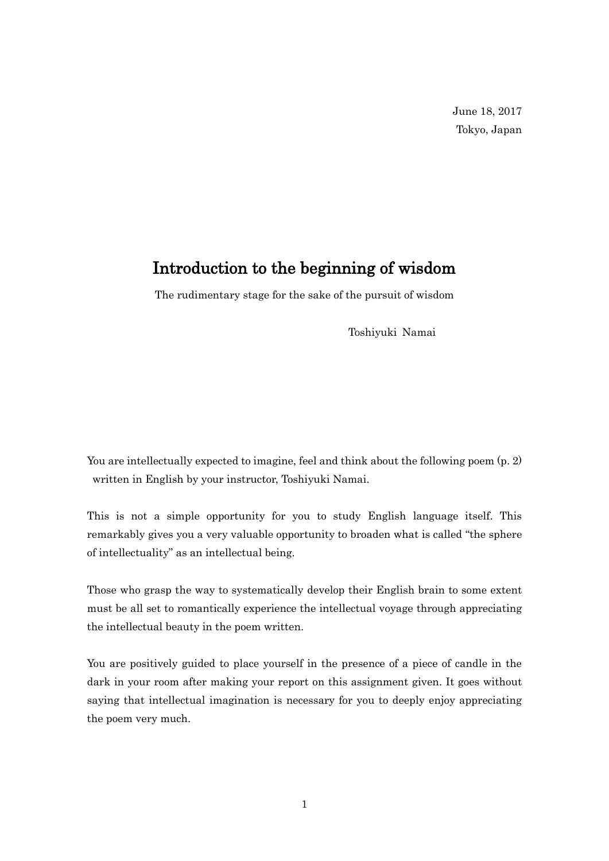## Introduction to the beginning of wisdom

The rudimentary stage for the sake of the pursuit of wisdom

Toshiyuki Namai

You are intellectually expected to imagine, feel and think about the following poem  $(p, 2)$ written in English by your instructor, Toshiyuki Namai.

This is not a simple opportunity for you to study English language itself. This remarkably gives you a very valuable opportunity to broaden what is called "the sphere of intellectuality" as an intellectual being.

Those who grasp the way to systematically develop their English brain to some extent must be all set to romantically experience the intellectual voyage through appreciating the intellectual beauty in the poem written.

You are positively guided to place yourself in the presence of a piece of candle in the dark in your room after making your report on this assignment given. It goes without saying that intellectual imagination is necessary for you to deeply enjoy appreciating the poem very much.